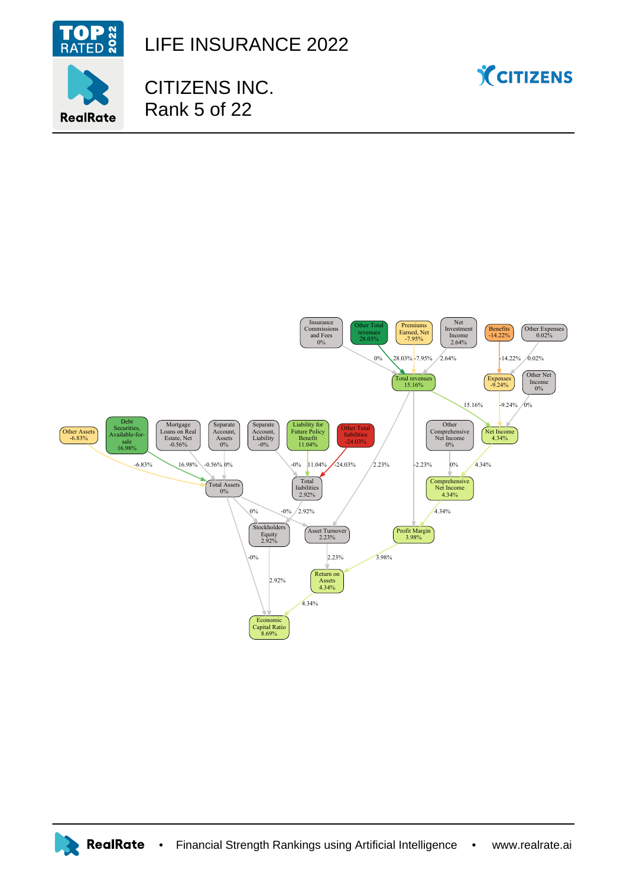

LIFE INSURANCE 2022